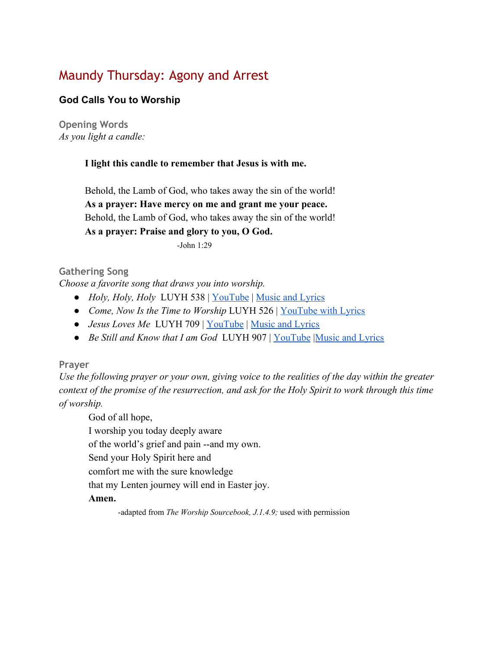# Maundy Thursday: Agony and Arrest

# **God Calls You to Worship**

**Opening Words** *As you light a candle:*

#### **I light this candle to remember that Jesus is with me.**

Behold, the Lamb of God, who takes away the sin of the world! **As a prayer: Have mercy on me and grant me your peace.** Behold, the Lamb of God, who takes away the sin of the world! **As a prayer: Praise and glory to you, O God.**

-John 1:29

#### **Gathering Song**

*Choose a favorite song that draws you into worship.*

- *Holy, Holy, Holy* LUYH 538 | [YouTube](https://www.youtube.com/watch?v=0SHDNs7Dt5M) | [Music and Lyrics](https://hymnary.org/hymn/LUYH2013/538)
- *● Come, Now Is the Time to Worship* LUYH 526 | [YouTube with Lyrics](https://www.youtube.com/watch?v=Za4roZrWpc8)
- *Jesus Loves Me* LUYH 709 | [YouTube](https://www.youtube.com/watch?v=-jABcYKhDrI) | [Music and Lyrics](https://hymnary.org/hymn/LUYH2013/709)
- *Be Still and Know that I am God* LUYH 907 | [YouTube](https://www.youtube.com/watch?v=IC5nxf6Jq7A) [Music and Lyrics](https://hymnary.org/hymn/LUYH2013/907)

#### **Prayer**

*Use the following prayer or your own, giving voice to the realities of the day within the greater context of the promise of the resurrection, and ask for the Holy Spirit to work through this time of worship.*

God of all hope, I worship you today deeply aware of the world's grief and pain --and my own. Send your Holy Spirit here and comfort me with the sure knowledge that my Lenten journey will end in Easter joy. **Amen.**

-adapted from *The Worship Sourcebook, J.1.4.9;* used with permission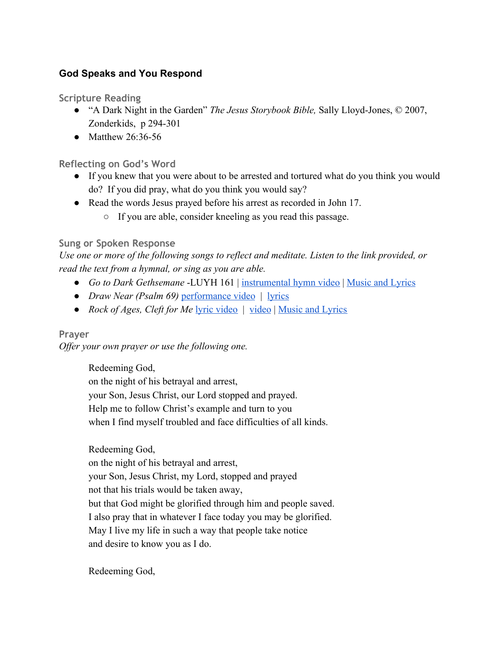# **God Speaks and You Respond**

**Scripture Reading**

- "A Dark Night in the Garden" *The Jesus Storybook Bible,* Sally Lloyd-Jones, © 2007, Zonderkids, p 294-301
- Matthew  $26.36 56$

# **Reflecting on God's Word**

- If you knew that you were about to be arrested and tortured what do you think you would do? If you did pray, what do you think you would say?
- Read the words Jesus prayed before his arrest as recorded in John 17.
	- If you are able, consider kneeling as you read this passage.

# **Sung or Spoken Response**

*Use one or more of the following songs to reflect and meditate. Listen to the link provided, or read the text from a hymnal, or sing as you are able.*

- *Go to Dark Gethsemane* -LUYH 161 | [instrumental hymn video](https://www.youtube.com/watch?v=Q1jpg1Ioei4) | [Music and Lyrics](https://hymnary.org/hymn/LUYH2013/161)
- *Draw Near (Psalm 69)* [performance video](https://www.youtube.com/watch?v=LRiAJsVc-Gk) | [lyrics](https://wendellk.bandcamp.com/track/draw-near-psalm-69-feat-sandra-mccracken)
- *Rock of Ages, Cleft for Me* [lyric video](https://www.youtube.com/watch?v=Ah6xIq4mL0I) | [video](https://www.youtube.com/watch?v=yIAG7B2l_Ns) | [Music and Lyrics](https://hymnary.org/text/rock_of_ages_cleft_for_me_let_me_hide)

# **Prayer**

*Offer your own prayer or use the following one.*

Redeeming God,

on the night of his betrayal and arrest, your Son, Jesus Christ, our Lord stopped and prayed. Help me to follow Christ's example and turn to you when I find myself troubled and face difficulties of all kinds.

Redeeming God,

on the night of his betrayal and arrest, your Son, Jesus Christ, my Lord, stopped and prayed not that his trials would be taken away, but that God might be glorified through him and people saved. I also pray that in whatever I face today you may be glorified. May I live my life in such a way that people take notice and desire to know you as I do.

Redeeming God,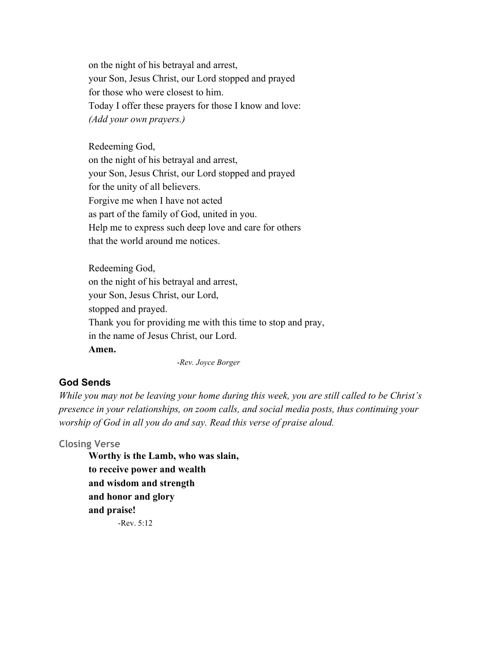on the night of his betrayal and arrest, your Son, Jesus Christ, our Lord stopped and prayed for those who were closest to him. Today I offer these prayers for those I know and love: *(Add your own prayers.)*

Redeeming God, on the night of his betrayal and arrest, your Son, Jesus Christ, our Lord stopped and prayed for the unity of all believers. Forgive me when I have not acted as part of the family of God, united in you. Help me to express such deep love and care for others that the world around me notices.

Redeeming God, on the night of his betrayal and arrest, your Son, Jesus Christ, our Lord, stopped and prayed. Thank you for providing me with this time to stop and pray, in the name of Jesus Christ, our Lord. **Amen.**

-*Rev. Joyce Borger*

#### **God Sends**

*While you may not be leaving your home during this week, you are still called to be Christ's presence in your relationships, on zoom calls, and social media posts, thus continuing your worship of God in all you do and say. Read this verse of praise aloud.*

#### **Closing Verse**

**Worthy is the Lamb, who was slain, to receive power and wealth and wisdom and strength and honor and glory and praise!**  $-$ Rev. 5:12